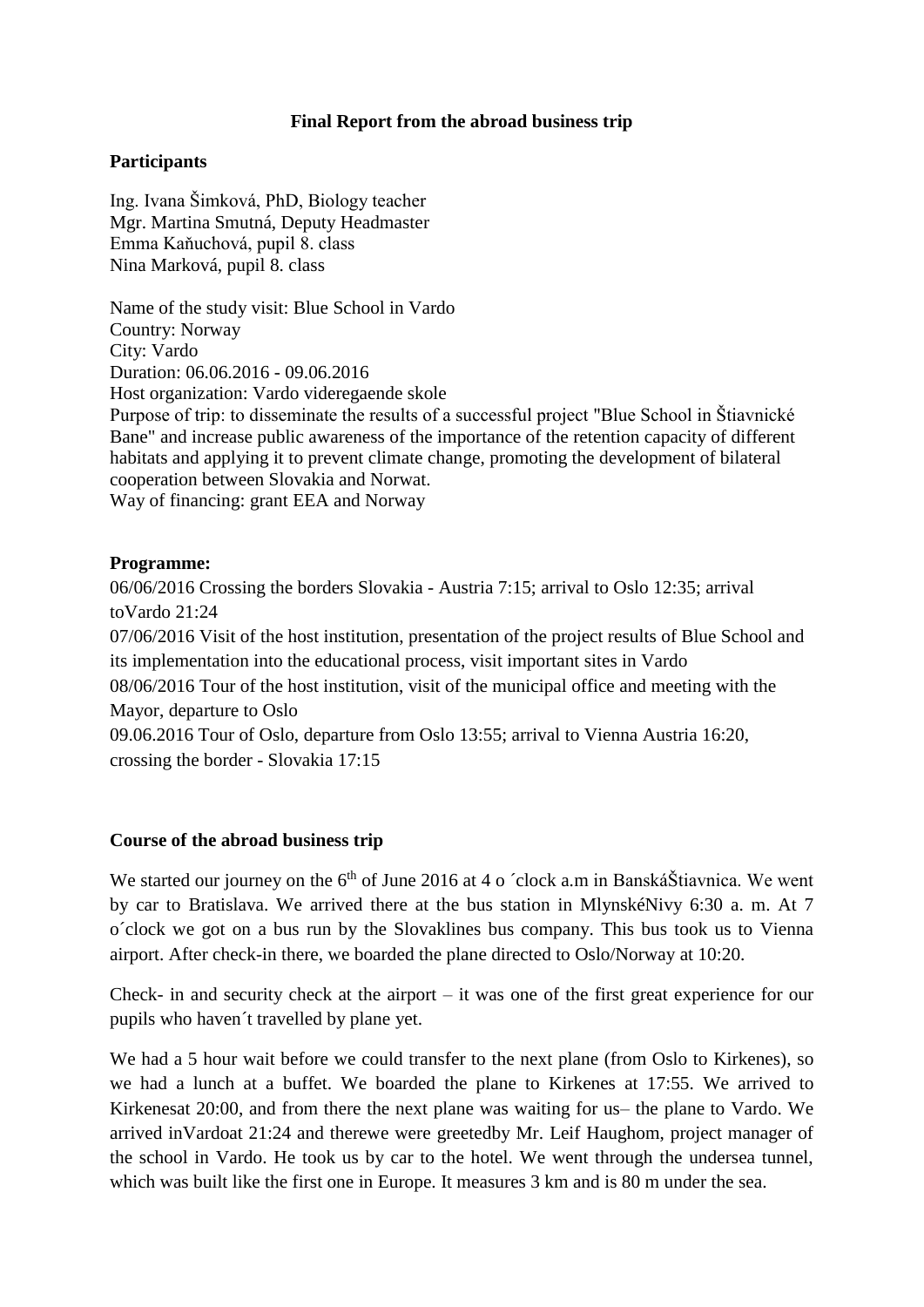## **Final Report from the abroad business trip**

## **Participants**

Ing. Ivana Šimková, PhD, Biology teacher Mgr. Martina Smutná, Deputy Headmaster Emma Kaňuchová, pupil 8. class Nina Marková, pupil 8. class

Name of the study visit: Blue School in Vardo Country: Norway City: Vardo Duration: 06.06.2016 - 09.06.2016 Host organization: Vardo videregaende skole

Purpose of trip: to disseminate the results of a successful project "Blue School in Štiavnické Bane" and increase public awareness of the importance of the retention capacity of different habitats and applying it to prevent climate change, promoting the development of bilateral cooperation between Slovakia and Norwat.

Way of financing: grant EEA and Norway

#### **Programme:**

06/06/2016 Crossing the borders Slovakia - Austria 7:15; arrival to Oslo 12:35; arrival toVardo 21:24

07/06/2016 Visit of the host institution, presentation of the project results of Blue School and its implementation into the educational process, visit important sites in Vardo

08/06/2016 Tour of the host institution, visit of the municipal office and meeting with the Mayor, departure to Oslo

09.06.2016 Tour of Oslo, departure from Oslo 13:55; arrival to Vienna Austria 16:20, crossing the border - Slovakia 17:15

#### **Course of the abroad business trip**

We started our journey on the  $6<sup>th</sup>$  of June 2016 at 4 o  $\degree$ clock a.m in BanskáŠtiavnica. We went by car to Bratislava. We arrived there at the bus station in MlynskéNivy 6:30 a. m. At 7 o´clock we got on a bus run by the Slovaklines bus company. This bus took us to Vienna airport. After check-in there, we boarded the plane directed to Oslo/Norway at 10:20.

Check- in and security check at the airport – it was one of the first great experience for our pupils who haven´t travelled by plane yet.

We had a 5 hour wait before we could transfer to the next plane (from Oslo to Kirkenes), so we had a lunch at a buffet. We boarded the plane to Kirkenes at 17:55. We arrived to Kirkenesat 20:00, and from there the next plane was waiting for us– the plane to Vardo. We arrived inVardoat 21:24 and therewe were greetedby Mr. Leif Haughom, project manager of the school in Vardo. He took us by car to the hotel. We went through the undersea tunnel, which was built like the first one in Europe. It measures 3 km and is 80 m under the sea.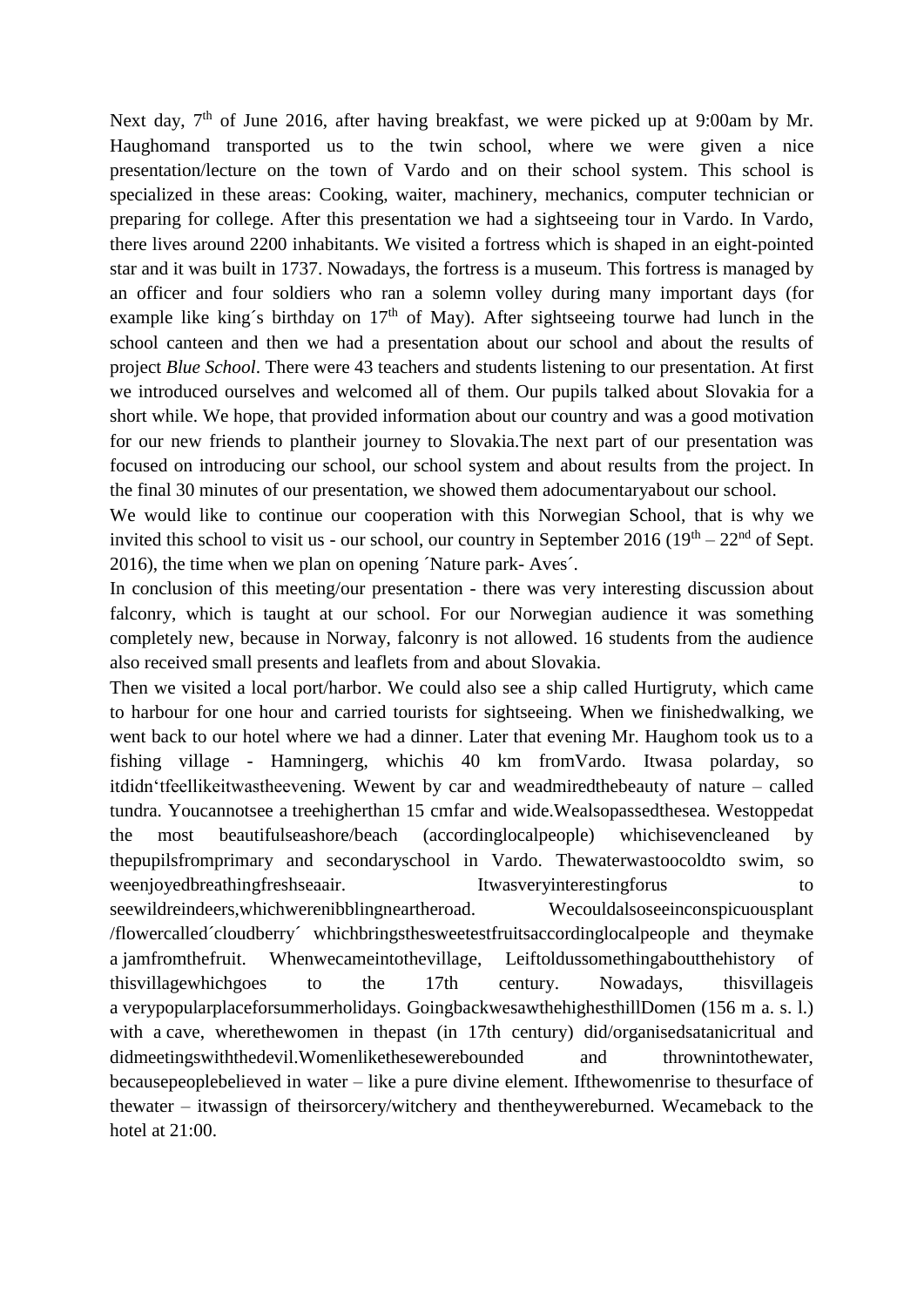Next day,  $7<sup>th</sup>$  of June 2016, after having breakfast, we were picked up at 9:00am by Mr. Haughomand transported us to the twin school, where we were given a nice presentation/lecture on the town of Vardo and on their school system. This school is specialized in these areas: Cooking, waiter, machinery, mechanics, computer technician or preparing for college. After this presentation we had a sightseeing tour in Vardo. In Vardo, there lives around 2200 inhabitants. We visited a fortress which is shaped in an eight-pointed star and it was built in 1737. Nowadays, the fortress is a museum. This fortress is managed by an officer and four soldiers who ran a solemn volley during many important days (for example like king's birthday on  $17<sup>th</sup>$  of May). After sightseeing tourwe had lunch in the school canteen and then we had a presentation about our school and about the results of project *Blue School*. There were 43 teachers and students listening to our presentation. At first we introduced ourselves and welcomed all of them. Our pupils talked about Slovakia for a short while. We hope, that provided information about our country and was a good motivation for our new friends to plantheir journey to Slovakia.The next part of our presentation was focused on introducing our school, our school system and about results from the project. In the final 30 minutes of our presentation, we showed them adocumentaryabout our school.

We would like to continue our cooperation with this Norwegian School, that is why we invited this school to visit us - our school, our country in September 2016  $(19<sup>th</sup> - 22<sup>nd</sup>$  of Sept. 2016), the time when we plan on opening ´Nature park- Aves´.

In conclusion of this meeting/our presentation - there was very interesting discussion about falconry, which is taught at our school. For our Norwegian audience it was something completely new, because in Norway, falconry is not allowed. 16 students from the audience also received small presents and leaflets from and about Slovakia.

Then we visited a local port/harbor. We could also see a ship called Hurtigruty, which came to harbour for one hour and carried tourists for sightseeing. When we finishedwalking, we went back to our hotel where we had a dinner. Later that evening Mr. Haughom took us to a fishing village - Hamningerg, whichis 40 km fromVardo. Itwasa polarday, so itdidn'tfeellikeitwastheevening. Wewent by car and weadmiredthebeauty of nature – called tundra. Youcannotsee a treehigherthan 15 cmfar and wide.Wealsopassedthesea. Westoppedat the most beautifulseashore/beach (accordinglocalpeople) whichisevencleaned by thepupilsfromprimary and secondaryschool in Vardo. Thewaterwastoocoldto swim, so weenjoyedbreathingfreshseaair. Itwasveryinterestingforus to seewildreindeers,whichwerenibblingneartheroad. Wecouldalsoseeinconspicuousplant /flowercalled´cloudberry´ whichbringsthesweetestfruitsaccordinglocalpeople and theymake a jamfromthefruit. Whenwecameintothevillage, Leiftoldussomethingaboutthehistory of thisvillagewhichgoes to the 17th century. Nowadays, thisvillageis a verypopularplaceforsummerholidays. GoingbackwesawthehighesthillDomen (156 m a. s. l.) with a cave, wherethewomen in the past (in 17th century) did/organised satanicritual and didmeetingswiththedevil.Womenlikethesewerebounded and thrownintothewater, becausepeoplebelieved in water – like a pure divine element. Ifthewomenrise to thesurface of thewater – itwassign of theirsorcery/witchery and thentheywereburned. Wecameback to the hotel at 21:00.